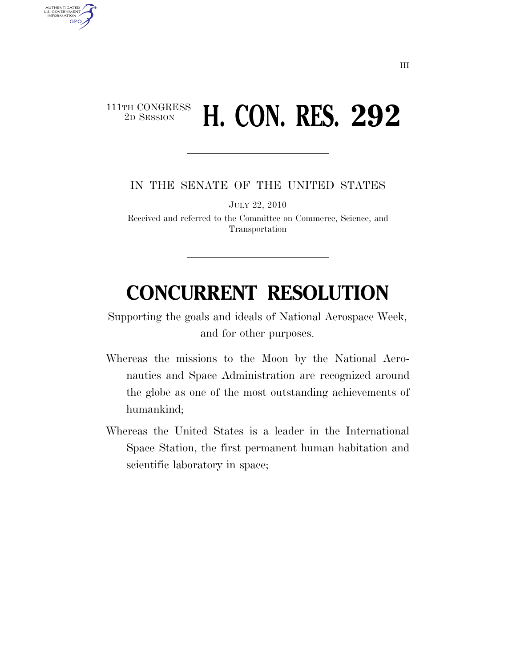## $\begin{array}{c} \textbf{111TH CONGRESS} \\ \textbf{2D SESION} \end{array}$ **H. CON. RES. 292**

AUTHENTICATED<br>U.S. GOVERNMENT<br>INFORMATION

**GPO** 

IN THE SENATE OF THE UNITED STATES

JULY 22, 2010

Received and referred to the Committee on Commerce, Science, and Transportation

## **CONCURRENT RESOLUTION**

Supporting the goals and ideals of National Aerospace Week, and for other purposes.

- Whereas the missions to the Moon by the National Aeronautics and Space Administration are recognized around the globe as one of the most outstanding achievements of humankind;
- Whereas the United States is a leader in the International Space Station, the first permanent human habitation and scientific laboratory in space;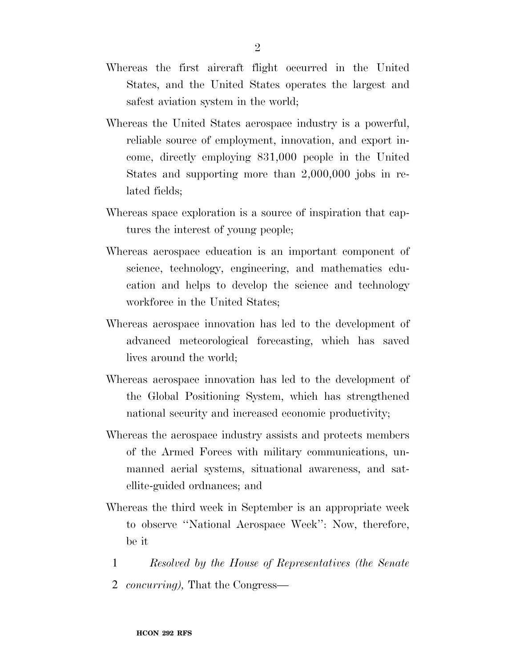- Whereas the first aircraft flight occurred in the United States, and the United States operates the largest and safest aviation system in the world;
- Whereas the United States aerospace industry is a powerful, reliable source of employment, innovation, and export income, directly employing 831,000 people in the United States and supporting more than 2,000,000 jobs in related fields;
- Whereas space exploration is a source of inspiration that captures the interest of young people;
- Whereas aerospace education is an important component of science, technology, engineering, and mathematics education and helps to develop the science and technology workforce in the United States;
- Whereas aerospace innovation has led to the development of advanced meteorological forecasting, which has saved lives around the world;
- Whereas aerospace innovation has led to the development of the Global Positioning System, which has strengthened national security and increased economic productivity;
- Whereas the aerospace industry assists and protects members of the Armed Forces with military communications, unmanned aerial systems, situational awareness, and satellite-guided ordnances; and
- Whereas the third week in September is an appropriate week to observe ''National Aerospace Week'': Now, therefore, be it
	- 1 *Resolved by the House of Representatives (the Senate*
	- 2 *concurring),* That the Congress—